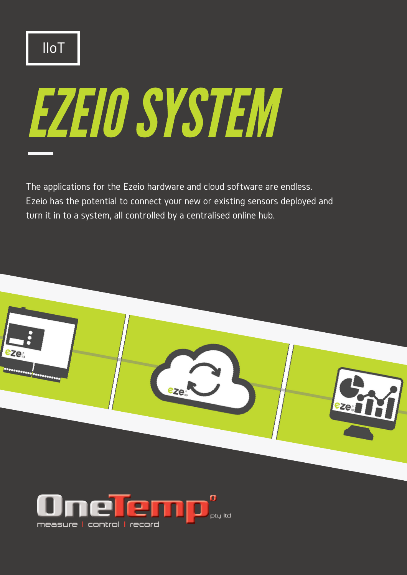# EZEIOSYSTEM

The applications for the Ezeio hardware and cloud software are endless. Ezeio has the potential to connect your new or existing sensors deployed and turn it in to a system, all controlled by a centralised online hub.



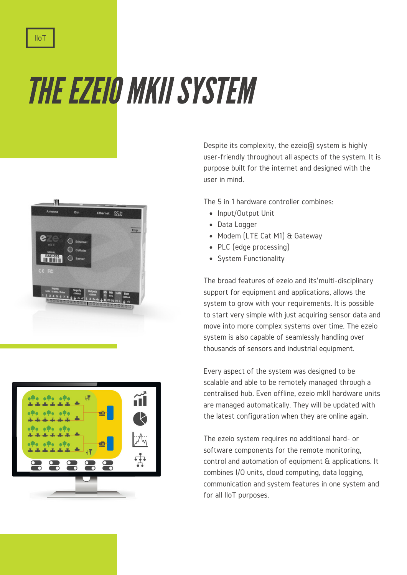THE EZEIO MKII SYSTEM





Despite its complexity, the ezeio<sub>R</sub> system is highly user-friendly throughout all aspects of the system. It is purpose built for the internet and designed with the user in mind.

The 5 in 1 hardware controller combines:

- Input/Output Unit
- Data Logger
- Modem (LTE Cat M1) & Gateway
- PLC (edge processing)
- System Functionality

The broad features of ezeio and its'multi-disciplinary support for equipment and applications, allows the system to grow with your requirements. It is possible to start very simple with just acquiring sensor data and move into more complex systems over time. The ezeio system is also capable of seamlessly handling over thousands of sensors and industrial equipment.

Every aspect of the system was designed to be scalable and able to be remotely managed through a centralised hub. Even offline, ezeio mkII hardware units are managed automatically. They will be updated with the latest configuration when they are online again.

The ezeio system requires no additional hard- or software components for the remote monitoring, control and automation of equipment & applications. It combines I/O units, cloud computing, data logging, communication and system features in one system and for all IIoT purposes.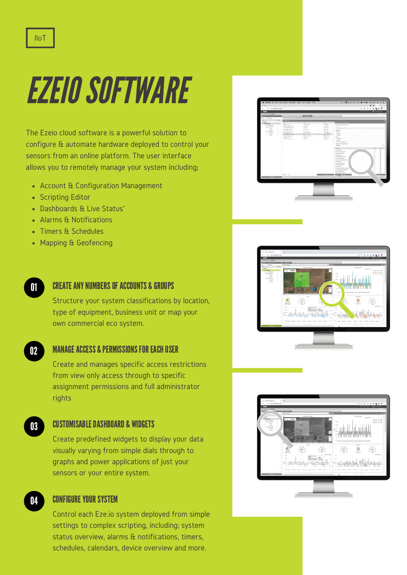# EZEIOSOFTWARE

The Ezeio cloud software is a powerful solution to configure & automate hardware deployed to control your sensors from an online platform. The user interface allows you to remotely manage your system including;

- Account & Configuration Management
- Scripting Editor
- Dashboards & Live Status'
- Alarms & Notifications
- Timers & Schedules
- Mapping & Geofencing
- 01

### CREATEANYNUMBERSOFACCOUNTS & GROUPS

Structure your system classifications by location, type of equipment, business unit or map your own commercial eco system.

02

04

## **MANAGE ACCESS & PERMISSIONS FOR EACH USER**

Create and manages specific access restrictions from view only access through to specific assignment permissions and full administrator rights

CUSTOMISABLEDASHBOARD & WIDGETS 03

> Create predefined widgets to display your data visually varying from simple dials through to graphs and power applications of just your sensors or your entire system.

## CONFIGURE YOUR SYSTEM

Control each Eze.io system deployed from simple settings to complex scripting, including; system status overview, alarms & notifications, timers, schedules, calendars, device overview and more.